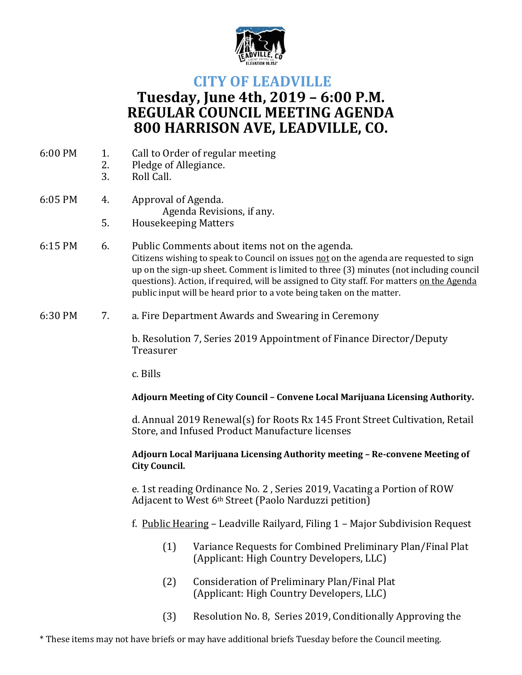

# **CITY OF LEADVILLE Tuesday, June 4th, 2019 – 6:00 P.M. REGULAR COUNCIL MEETING AGENDA 800 HARRISON AVE, LEADVILLE, CO.**

- 6:00 PM 1. Call to Order of regular meeting
	- 2. Pledge of Allegiance.
		- 3. Roll Call.

#### 6:05 PM 4. Approval of Agenda. Agenda Revisions, if any. 5. Housekeeping Matters

- 6:15 PM 6. Public Comments about items not on the agenda. Citizens wishing to speak to Council on issues not on the agenda are requested to sign up on the sign-up sheet. Comment is limited to three (3) minutes (not including council questions). Action, if required, will be assigned to City staff. For matters on the Agenda public input will be heard prior to a vote being taken on the matter.
- 6:30 PM 7. a. Fire Department Awards and Swearing in Ceremony

b. Resolution 7, Series 2019 Appointment of Finance Director/Deputy Treasurer

c. Bills

## **Adjourn Meeting of City Council – Convene Local Marijuana Licensing Authority.**

d. Annual 2019 Renewal(s) for Roots Rx 145 Front Street Cultivation, Retail Store, and Infused Product Manufacture licenses

## **Adjourn Local Marijuana Licensing Authority meeting – Re-convene Meeting of City Council.**

e. 1st reading Ordinance No. 2 , Series 2019, Vacating a Portion of ROW Adjacent to West 6th Street (Paolo Narduzzi petition)

- f. Public Hearing Leadville Railyard, Filing 1 Major Subdivision Request
	- (1) Variance Requests for Combined Preliminary Plan/Final Plat (Applicant: High Country Developers, LLC)
	- (2) Consideration of Preliminary Plan/Final Plat (Applicant: High Country Developers, LLC)
	- (3) Resolution No. 8, Series 2019, Conditionally Approving the

\* These items may not have briefs or may have additional briefs Tuesday before the Council meeting.